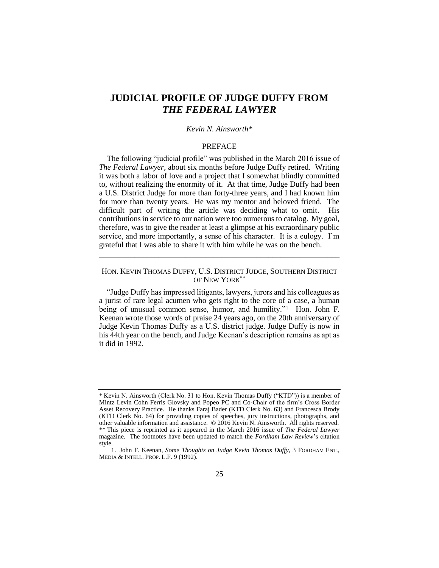# **JUDICIAL PROFILE OF JUDGE DUFFY FROM**  *THE FEDERAL LAWYER*

## *Kevin N. Ainsworth\**

## <span id="page-0-0"></span>PREFACE

The following "judicial profile" was published in the March 2016 issue of *The Federal Lawyer*, about six months before Judge Duffy retired. Writing it was both a labor of love and a project that I somewhat blindly committed to, without realizing the enormity of it. At that time, Judge Duffy had been a U.S. District Judge for more than forty-three years, and I had known him for more than twenty years. He was my mentor and beloved friend. The difficult part of writing the article was deciding what to omit. His contributions in service to our nation were too numerous to catalog. My goal, therefore, was to give the reader at least a glimpse at his extraordinary public service, and more importantly, a sense of his character. It is a eulogy. I'm grateful that I was able to share it with him while he was on the bench.

## HON. KEVIN THOMAS DUFFY, U.S. DISTRICT JUDGE, SOUTHERN DISTRICT OF NEW YORK\*\*

\_\_\_\_\_\_\_\_\_\_\_\_\_\_\_\_\_\_\_\_\_\_\_\_\_\_\_\_\_\_\_\_\_\_\_\_\_\_\_\_\_\_\_\_\_\_\_\_\_\_\_\_\_\_\_\_\_\_\_\_\_

"Judge Duffy has impressed litigants, lawyers, jurors and his colleagues as a jurist of rare legal acumen who gets right to the core of a case, a human being of unusual common sense, humor, and humility."1 Hon. John F. Keenan wrote those words of praise 24 years ago, on the 20th anniversary of Judge Kevin Thomas Duffy as a U.S. district judge. Judge Duffy is now in his 44th year on the bench, and Judge Keenan's description remains as apt as it did in 1992.

<sup>\*</sup> Kevin N. Ainsworth (Clerk No. 31 to Hon. Kevin Thomas Duffy ("KTD")) is a member of Mintz Levin Cohn Ferris Glovsky and Popeo PC and Co-Chair of the firm's Cross Border Asset Recovery Practice. He thanks Faraj Bader (KTD Clerk No. 63) and Francesca Brody (KTD Clerk No. 64) for providing copies of speeches, jury instructions, photographs, and other valuable information and assistance. © 2016 Kevin N. Ainsworth. All rights reserved. \*\* This piece is reprinted as it appeared in the March 2016 issue of *The Federal Lawyer* magazine. The footnotes have been updated to match the *Fordham Law Review*'s citation style.

<sup>1.</sup> John F. Keenan, *Some Thoughts on Judge Kevin Thomas Duffy*, 3 FORDHAM ENT., MEDIA & INTELL. PROP. L.F. 9 (1992).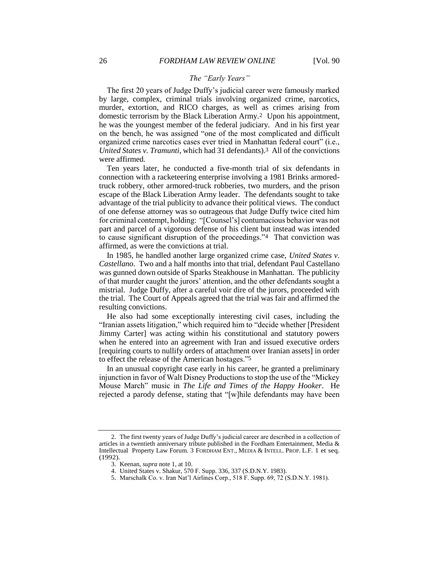## *The "Early Years"*

The first 20 years of Judge Duffy's judicial career were famously marked by large, complex, criminal trials involving organized crime, narcotics, murder, extortion, and RICO charges, as well as crimes arising from domestic terrorism by the Black Liberation Army.2 Upon his appointment, he was the youngest member of the federal judiciary. And in his first year on the bench, he was assigned "one of the most complicated and difficult organized crime narcotics cases ever tried in Manhattan federal court" (i.e., *United States v. Tramunti*, which had 31 defendants).3 All of the convictions were affirmed.

Ten years later, he conducted a five-month trial of six defendants in connection with a racketeering enterprise involving a 1981 Brinks armoredtruck robbery, other armored-truck robberies, two murders, and the prison escape of the Black Liberation Army leader. The defendants sought to take advantage of the trial publicity to advance their political views. The conduct of one defense attorney was so outrageous that Judge Duffy twice cited him for criminal contempt, holding: "[Counsel's] contumacious behavior was not part and parcel of a vigorous defense of his client but instead was intended to cause significant disruption of the proceedings."4 That conviction was affirmed, as were the convictions at trial.

In 1985, he handled another large organized crime case, *United States v. Castellano*. Two and a half months into that trial, defendant Paul Castellano was gunned down outside of Sparks Steakhouse in Manhattan. The publicity of that murder caught the jurors' attention, and the other defendants sought a mistrial. Judge Duffy, after a careful voir dire of the jurors, proceeded with the trial. The Court of Appeals agreed that the trial was fair and affirmed the resulting convictions.

He also had some exceptionally interesting civil cases, including the "Iranian assets litigation," which required him to "decide whether [President Jimmy Carter] was acting within his constitutional and statutory powers when he entered into an agreement with Iran and issued executive orders [requiring courts to nullify orders of attachment over Iranian assets] in order to effect the release of the American hostages."5

In an unusual copyright case early in his career, he granted a preliminary injunction in favor of Walt Disney Productions to stop the use of the "Mickey Mouse March" music in *The Life and Times of the Happy Hooker*. He rejected a parody defense, stating that "[w]hile defendants may have been

<sup>2.</sup> The first twenty years of Judge Duffy's judicial career are described in a collection of articles in a twentieth anniversary tribute published in the Fordham Entertainment, Media & Intellectual Property Law Forum. 3 FORDHAM ENT., MEDIA & INTELL. PROP. L.F. 1 et seq. (1992).

<sup>3.</sup> Keenan, *supra* not[e 1,](#page-0-0) at 10.

<sup>4.</sup> United States v. Shakur, 570 F. Supp. 336, 337 (S.D.N.Y. 1983).

<sup>5.</sup> Marschalk Co. v. Iran Nat'l Airlines Corp., 518 F. Supp. 69, 72 (S.D.N.Y. 1981).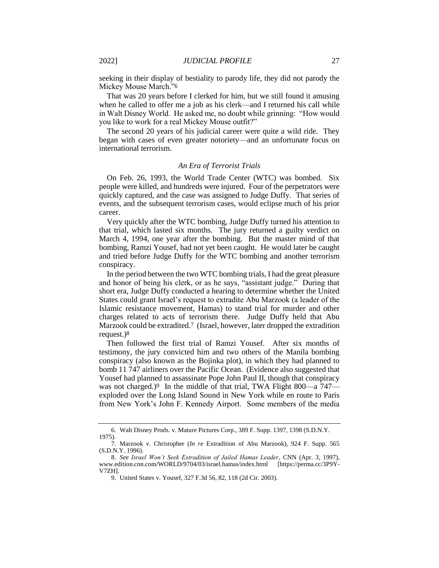seeking in their display of bestiality to parody life, they did not parody the Mickey Mouse March."6

That was 20 years before I clerked for him, but we still found it amusing when he called to offer me a job as his clerk—and I returned his call while in Walt Disney World. He asked me, no doubt while grinning: "How would you like to work for a real Mickey Mouse outfit?"

The second 20 years of his judicial career were quite a wild ride. They began with cases of even greater notoriety—and an unfortunate focus on international terrorism.

## *An Era of Terrorist Trials*

On Feb. 26, 1993, the World Trade Center (WTC) was bombed. Six people were killed, and hundreds were injured. Four of the perpetrators were quickly captured, and the case was assigned to Judge Duffy. That series of events, and the subsequent terrorism cases, would eclipse much of his prior career.

Very quickly after the WTC bombing, Judge Duffy turned his attention to that trial, which lasted six months. The jury returned a guilty verdict on March 4, 1994, one year after the bombing. But the master mind of that bombing, Ramzi Yousef, had not yet been caught. He would later be caught and tried before Judge Duffy for the WTC bombing and another terrorism conspiracy.

In the period between the two WTC bombing trials, I had the great pleasure and honor of being his clerk, or as he says, "assistant judge." During that short era, Judge Duffy conducted a hearing to determine whether the United States could grant Israel's request to extradite Abu Marzook (a leader of the Islamic resistance movement, Hamas) to stand trial for murder and other charges related to acts of terrorism there. Judge Duffy held that Abu Marzook could be extradited.7 (Israel, however, later dropped the extradition request.)8

Then followed the first trial of Ramzi Yousef. After six months of testimony, the jury convicted him and two others of the Manila bombing conspiracy (also known as the Bojinka plot), in which they had planned to bomb 11 747 airliners over the Pacific Ocean. (Evidence also suggested that Yousef had planned to assassinate Pope John Paul II, though that conspiracy was not charged.)<sup>9</sup> In the middle of that trial, TWA Flight 800—a 747 exploded over the Long Island Sound in New York while en route to Paris from New York's John F. Kennedy Airport. Some members of the media

<sup>6.</sup> Walt Disney Prods. v. Mature Pictures Corp., 389 F. Supp. 1397, 1398 (S.D.N.Y. 1975).

<sup>7.</sup> Marzook v. Christopher (*In re* Extradition of Abu Marzook), 924 F. Supp. 565 (S.D.N.Y. 1996).

<sup>8.</sup> *See Israel Won't Seek Extradition of Jailed Hamas Leader*, CNN (Apr. 3, 1997), www.edition.cnn.com/WORLD/9704/03/israel.hamas/index.html [https://perma.cc/3P9Y-V7ZH].

<sup>9.</sup> United States v. Yousef, 327 F.3d 56, 82, 118 (2d Cir. 2003).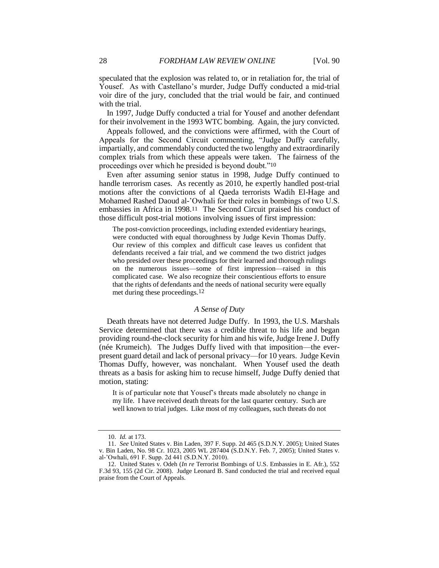speculated that the explosion was related to, or in retaliation for, the trial of Yousef. As with Castellano's murder, Judge Duffy conducted a mid-trial voir dire of the jury, concluded that the trial would be fair, and continued with the trial.

In 1997, Judge Duffy conducted a trial for Yousef and another defendant for their involvement in the 1993 WTC bombing. Again, the jury convicted.

Appeals followed, and the convictions were affirmed, with the Court of Appeals for the Second Circuit commenting, "Judge Duffy carefully, impartially, and commendably conducted the two lengthy and extraordinarily complex trials from which these appeals were taken. The fairness of the proceedings over which he presided is beyond doubt."10

Even after assuming senior status in 1998, Judge Duffy continued to handle terrorism cases. As recently as 2010, he expertly handled post-trial motions after the convictions of al Qaeda terrorists Wadih El-Hage and Mohamed Rashed Daoud al-'Owhali for their roles in bombings of two U.S. embassies in Africa in 1998.11 The Second Circuit praised his conduct of those difficult post-trial motions involving issues of first impression:

The post-conviction proceedings, including extended evidentiary hearings, were conducted with equal thoroughness by Judge Kevin Thomas Duffy. Our review of this complex and difficult case leaves us confident that defendants received a fair trial, and we commend the two district judges who presided over these proceedings for their learned and thorough rulings on the numerous issues—some of first impression—raised in this complicated case. We also recognize their conscientious efforts to ensure that the rights of defendants and the needs of national security were equally met during these proceedings.12

## *A Sense of Duty*

Death threats have not deterred Judge Duffy. In 1993, the U.S. Marshals Service determined that there was a credible threat to his life and began providing round-the-clock security for him and his wife, Judge Irene J. Duffy (née Krumeich). The Judges Duffy lived with that imposition—the everpresent guard detail and lack of personal privacy—for 10 years. Judge Kevin Thomas Duffy, however, was nonchalant. When Yousef used the death threats as a basis for asking him to recuse himself, Judge Duffy denied that motion, stating:

It is of particular note that Yousef's threats made absolutely no change in my life. I have received death threats for the last quarter century. Such are well known to trial judges. Like most of my colleagues, such threats do not

<sup>10.</sup> *Id.* at 173.

<sup>11.</sup> *See* United States v. Bin Laden, 397 F. Supp. 2d 465 (S.D.N.Y. 2005); United States v. Bin Laden, No. 98 Cr. 1023, 2005 WL 287404 (S.D.N.Y. Feb. 7, 2005); United States v. al-'Owhali, 691 F. Supp. 2d 441 (S.D.N.Y. 2010).

<sup>12.</sup> United States v. Odeh (*In re* Terrorist Bombings of U.S. Embassies in E. Afr.), 552 F.3d 93, 155 (2d Cir. 2008). Judge Leonard B. Sand conducted the trial and received equal praise from the Court of Appeals.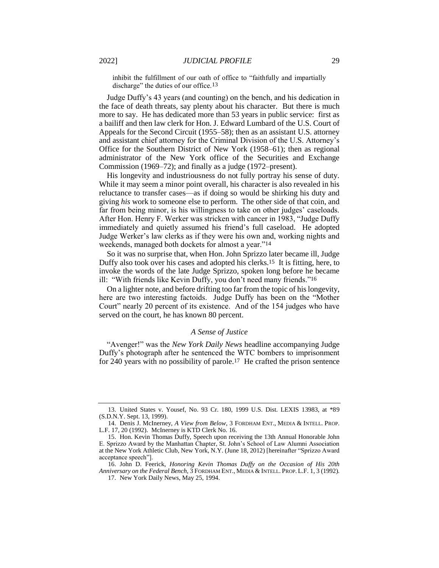inhibit the fulfillment of our oath of office to "faithfully and impartially discharge" the duties of our office.<sup>13</sup>

Judge Duffy's 43 years (and counting) on the bench, and his dedication in the face of death threats, say plenty about his character. But there is much more to say. He has dedicated more than 53 years in public service: first as a bailiff and then law clerk for Hon. J. Edward Lumbard of the U.S. Court of Appeals for the Second Circuit (1955–58); then as an assistant U.S. attorney and assistant chief attorney for the Criminal Division of the U.S. Attorney's Office for the Southern District of New York (1958–61); then as regional administrator of the New York office of the Securities and Exchange Commission (1969–72); and finally as a judge (1972–present).

His longevity and industriousness do not fully portray his sense of duty. While it may seem a minor point overall, his character is also revealed in his reluctance to transfer cases—as if doing so would be shirking his duty and giving *his* work to someone else to perform. The other side of that coin, and far from being minor, is his willingness to take on other judges' caseloads. After Hon. Henry F. Werker was stricken with cancer in 1983, "Judge Duffy immediately and quietly assumed his friend's full caseload. He adopted Judge Werker's law clerks as if they were his own and, working nights and weekends, managed both dockets for almost a year."14

So it was no surprise that, when Hon. John Sprizzo later became ill, Judge Duffy also took over his cases and adopted his clerks.15 It is fitting, here, to invoke the words of the late Judge Sprizzo, spoken long before he became ill: "With friends like Kevin Duffy, you don't need many friends."16

On a lighter note, and before drifting too far from the topic of his longevity, here are two interesting factoids. Judge Duffy has been on the "Mother Court" nearly 20 percent of its existence. And of the 154 judges who have served on the court, he has known 80 percent.

#### <span id="page-4-0"></span>*A Sense of Justice*

"Avenger!" was the *New York Daily News* headline accompanying Judge Duffy's photograph after he sentenced the WTC bombers to imprisonment for 240 years with no possibility of parole.17 He crafted the prison sentence

<sup>13.</sup> United States v. Yousef, No. 93 Cr. 180, 1999 U.S. Dist. LEXIS 13983, at \*89 (S.D.N.Y. Sept. 13, 1999).

<sup>14.</sup> Denis J. McInerney, *A View from Below*, 3 FORDHAM ENT., MEDIA & INTELL. PROP. L.F. 17, 20 (1992). McInerney is KTD Clerk No. 16.

<sup>15.</sup> Hon. Kevin Thomas Duffy, Speech upon receiving the 13th Annual Honorable John E. Sprizzo Award by the Manhattan Chapter, St. John's School of Law Alumni Association at the New York Athletic Club, New York, N.Y. (June 18, 2012) [hereinafter "Sprizzo Award acceptance speech"].

<sup>16.</sup> John D. Feerick, *Honoring Kevin Thomas Duffy on the Occasion of His 20th Anniversary on the Federal Bench*, 3 FORDHAM ENT., MEDIA & INTELL. PROP. L.F. 1, 3 (1992). 17. New York Daily News, May 25, 1994.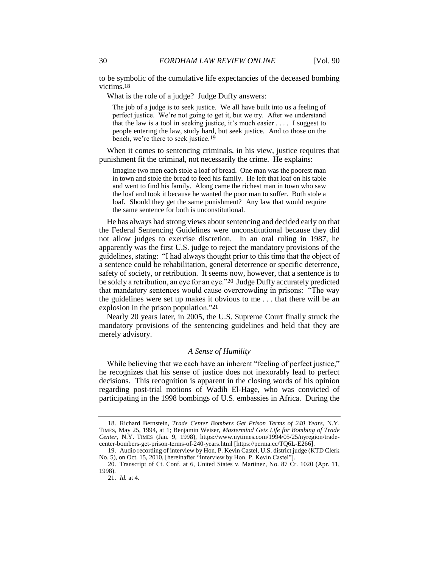to be symbolic of the cumulative life expectancies of the deceased bombing victims.18

What is the role of a judge? Judge Duffy answers:

<span id="page-5-0"></span>The job of a judge is to seek justice. We all have built into us a feeling of perfect justice. We're not going to get it, but we try. After we understand that the law is a tool in seeking justice, it's much easier  $\dots$ . I suggest to people entering the law, study hard, but seek justice. And to those on the bench, we're there to seek justice.19

When it comes to sentencing criminals, in his view, justice requires that punishment fit the criminal, not necessarily the crime. He explains:

Imagine two men each stole a loaf of bread. One man was the poorest man in town and stole the bread to feed his family. He left that loaf on his table and went to find his family. Along came the richest man in town who saw the loaf and took it because he wanted the poor man to suffer. Both stole a loaf. Should they get the same punishment? Any law that would require the same sentence for both is unconstitutional.

He has always had strong views about sentencing and decided early on that the Federal Sentencing Guidelines were unconstitutional because they did not allow judges to exercise discretion. In an oral ruling in 1987, he apparently was the first U.S. judge to reject the mandatory provisions of the guidelines, stating: "I had always thought prior to this time that the object of a sentence could be rehabilitation, general deterrence or specific deterrence, safety of society, or retribution. It seems now, however, that a sentence is to be solely a retribution, an eye for an eye."20 Judge Duffy accurately predicted that mandatory sentences would cause overcrowding in prisons: "The way the guidelines were set up makes it obvious to me . . . that there will be an explosion in the prison population."21

Nearly 20 years later, in 2005, the U.S. Supreme Court finally struck the mandatory provisions of the sentencing guidelines and held that they are merely advisory.

## *A Sense of Humility*

While believing that we each have an inherent "feeling of perfect justice," he recognizes that his sense of justice does not inexorably lead to perfect decisions. This recognition is apparent in the closing words of his opinion regarding post-trial motions of Wadih El-Hage, who was convicted of participating in the 1998 bombings of U.S. embassies in Africa. During the

<sup>18.</sup> Richard Bernstein, *Trade Center Bombers Get Prison Terms of 240 Years*, N.Y. TIMES, May 25, 1994, at 1; Benjamin Weiser, *Mastermind Gets Life for Bombing of Trade Center*, N.Y. TIMES (Jan. 9, 1998), https://www.nytimes.com/1994/05/25/nyregion/tradecenter-bombers-get-prison-terms-of-240-years.html [https://perma.cc/TQ6L-E266].

<sup>19.</sup> Audio recording of interview by Hon. P. Kevin Castel, U.S. district judge (KTD Clerk No. 5), on Oct. 15, 2010, [hereinafter "Interview by Hon. P. Kevin Castel"].

<sup>20.</sup> Transcript of Ct. Conf. at 6, United States v. Martinez, No. 87 Cr. 1020 (Apr. 11, 1998).

<sup>21.</sup> *Id.* at 4.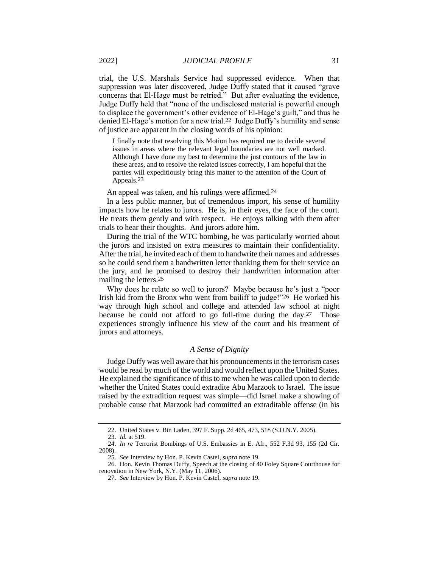trial, the U.S. Marshals Service had suppressed evidence. When that suppression was later discovered, Judge Duffy stated that it caused "grave concerns that El-Hage must be retried." But after evaluating the evidence, Judge Duffy held that "none of the undisclosed material is powerful enough to displace the government's other evidence of El-Hage's guilt," and thus he denied El-Hage's motion for a new trial.22 Judge Duffy's humility and sense of justice are apparent in the closing words of his opinion:

I finally note that resolving this Motion has required me to decide several issues in areas where the relevant legal boundaries are not well marked. Although I have done my best to determine the just contours of the law in these areas, and to resolve the related issues correctly, I am hopeful that the parties will expeditiously bring this matter to the attention of the Court of Appeals.23

An appeal was taken, and his rulings were affirmed.24

In a less public manner, but of tremendous import, his sense of humility impacts how he relates to jurors. He is, in their eyes, the face of the court. He treats them gently and with respect. He enjoys talking with them after trials to hear their thoughts. And jurors adore him.

During the trial of the WTC bombing, he was particularly worried about the jurors and insisted on extra measures to maintain their confidentiality. After the trial, he invited each of them to handwrite their names and addresses so he could send them a handwritten letter thanking them for their service on the jury, and he promised to destroy their handwritten information after mailing the letters.25

Why does he relate so well to jurors? Maybe because he's just a "poor Irish kid from the Bronx who went from bailiff to judge!"26 He worked his way through high school and college and attended law school at night because he could not afford to go full-time during the day.27 Those experiences strongly influence his view of the court and his treatment of jurors and attorneys.

## *A Sense of Dignity*

Judge Duffy was well aware that his pronouncements in the terrorism cases would be read by much of the world and would reflect upon the United States. He explained the significance of this to me when he was called upon to decide whether the United States could extradite Abu Marzook to Israel. The issue raised by the extradition request was simple—did Israel make a showing of probable cause that Marzook had committed an extraditable offense (in his

<sup>22.</sup> United States v. Bin Laden, 397 F. Supp. 2d 465, 473, 518 (S.D.N.Y. 2005).

<sup>23.</sup> *Id.* at 519.

<sup>24.</sup> *In re* Terrorist Bombings of U.S. Embassies in E. Afr., 552 F.3d 93, 155 (2d Cir. 2008).

<sup>25.</sup> *See* Interview by Hon. P. Kevin Castel, *supra* note [19.](#page-5-0)

<sup>26.</sup> Hon. Kevin Thomas Duffy, Speech at the closing of 40 Foley Square Courthouse for renovation in New York, N.Y. (May 11, 2006).

<sup>27.</sup> *See* Interview by Hon. P. Kevin Castel, *supra* note [19.](#page-5-0)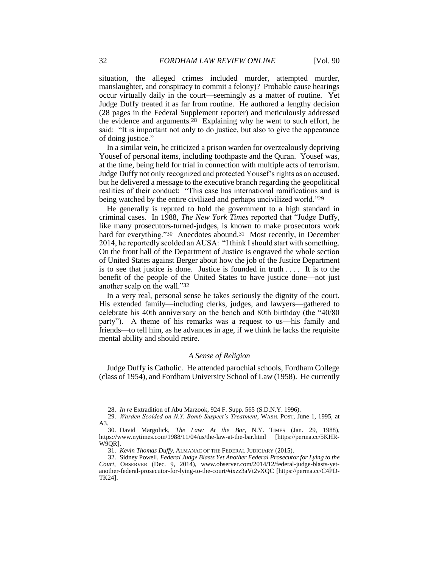situation, the alleged crimes included murder, attempted murder, manslaughter, and conspiracy to commit a felony)? Probable cause hearings occur virtually daily in the court—seemingly as a matter of routine. Yet Judge Duffy treated it as far from routine. He authored a lengthy decision (28 pages in the Federal Supplement reporter) and meticulously addressed the evidence and arguments.28 Explaining why he went to such effort, he said: "It is important not only to do justice, but also to give the appearance of doing justice."

In a similar vein, he criticized a prison warden for overzealously depriving Yousef of personal items, including toothpaste and the Quran. Yousef was, at the time, being held for trial in connection with multiple acts of terrorism. Judge Duffy not only recognized and protected Yousef's rights as an accused, but he delivered a message to the executive branch regarding the geopolitical realities of their conduct: "This case has international ramifications and is being watched by the entire civilized and perhaps uncivilized world."29

He generally is reputed to hold the government to a high standard in criminal cases. In 1988, *The New York Times* reported that "Judge Duffy, like many prosecutors-turned-judges, is known to make prosecutors work hard for everything."30 Anecdotes abound.<sup>31</sup> Most recently, in December 2014, he reportedly scolded an AUSA: "I think I should start with something. On the front hall of the Department of Justice is engraved the whole section of United States against Berger about how the job of the Justice Department is to see that justice is done. Justice is founded in truth . . . . It is to the benefit of the people of the United States to have justice done—not just another scalp on the wall."32

In a very real, personal sense he takes seriously the dignity of the court. His extended family—including clerks, judges, and lawyers—gathered to celebrate his 40th anniversary on the bench and 80th birthday (the "40/80 party"). A theme of his remarks was a request to us—his family and friends—to tell him, as he advances in age, if we think he lacks the requisite mental ability and should retire.

## *A Sense of Religion*

Judge Duffy is Catholic. He attended parochial schools, Fordham College (class of 1954), and Fordham University School of Law (1958). He currently

<sup>28.</sup> *In re* Extradition of Abu Marzook, 924 F. Supp. 565 (S.D.N.Y. 1996).

<sup>29.</sup> *Warden Scolded on N.Y. Bomb Suspect's Treatment*, WASH. POST, June 1, 1995, at A3.

<sup>30.</sup> David Margolick, *The Law: At the Bar*, N.Y. TIMES (Jan. 29, 1988), https://www.nytimes.com/1988/11/04/us/the-law-at-the-bar.html [https://perma.cc/5KHR-W9QR].

<sup>31.</sup> *Kevin Thomas Duffy,* ALMANAC OF THE FEDERAL JUDICIARY (2015).

<sup>32.</sup> Sidney Powell, *Federal Judge Blasts Yet Another Federal Prosecutor for Lying to the Court*, OBSERVER (Dec. 9, 2014), www.observer.com/2014/12/federal-judge-blasts-yetanother-federal-prosecutor-for-lying-to-the-court/#ixzz3aVt2vXQC [https://perma.cc/C4PD-TK24].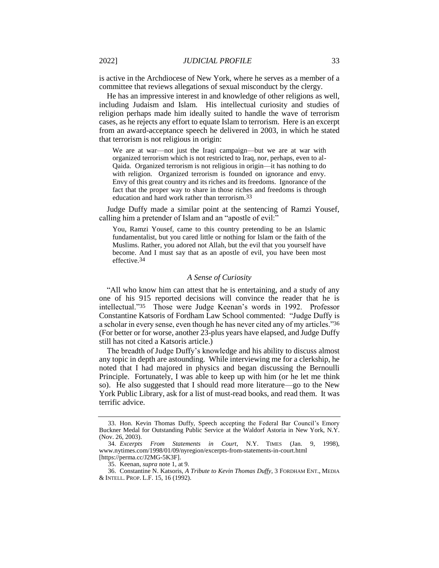is active in the Archdiocese of New York, where he serves as a member of a committee that reviews allegations of sexual misconduct by the clergy.

He has an impressive interest in and knowledge of other religions as well, including Judaism and Islam. His intellectual curiosity and studies of religion perhaps made him ideally suited to handle the wave of terrorism cases, as he rejects any effort to equate Islam to terrorism. Here is an excerpt from an award-acceptance speech he delivered in 2003, in which he stated that terrorism is not religious in origin:

We are at war—not just the Iraqi campaign—but we are at war with organized terrorism which is not restricted to Iraq, nor, perhaps, even to al-Qaida. Organized terrorism is not religious in origin—it has nothing to do with religion. Organized terrorism is founded on ignorance and envy. Envy of this great country and its riches and its freedoms. Ignorance of the fact that the proper way to share in those riches and freedoms is through education and hard work rather than terrorism.33

Judge Duffy made a similar point at the sentencing of Ramzi Yousef, calling him a pretender of Islam and an "apostle of evil:"

You, Ramzi Yousef, came to this country pretending to be an Islamic fundamentalist, but you cared little or nothing for Islam or the faith of the Muslims. Rather, you adored not Allah, but the evil that you yourself have become. And I must say that as an apostle of evil, you have been most effective.34

## *A Sense of Curiosity*

"All who know him can attest that he is entertaining, and a study of any one of his 915 reported decisions will convince the reader that he is intellectual."35 Those were Judge Keenan's words in 1992. Professor Constantine Katsoris of Fordham Law School commented: "Judge Duffy is a scholar in every sense, even though he has never cited any of my articles."36 (For better or for worse, another 23-plus years have elapsed, and Judge Duffy still has not cited a Katsoris article.)

The breadth of Judge Duffy's knowledge and his ability to discuss almost any topic in depth are astounding. While interviewing me for a clerkship, he noted that I had majored in physics and began discussing the Bernoulli Principle. Fortunately, I was able to keep up with him (or he let me think so). He also suggested that I should read more literature—go to the New York Public Library, ask for a list of must-read books, and read them. It was terrific advice.

<sup>33.</sup> Hon. Kevin Thomas Duffy, Speech accepting the Federal Bar Council's Emory Buckner Medal for Outstanding Public Service at the Waldorf Astoria in New York, N.Y. (Nov. 26, 2003).

<sup>34.</sup> *Excerpts From Statements in Court*, N.Y. TIMES (Jan. 9, 1998), www.nytimes.com/1998/01/09/nyregion/excerpts-from-statements-in-court.html [https://perma.cc/J2MG-5K3F].

<sup>35.</sup> Keenan, *supra* not[e 1,](#page-0-0) at 9.

<sup>36.</sup> Constantine N. Katsoris, *A Tribute to Kevin Thomas Duffy*, 3 FORDHAM ENT., MEDIA & INTELL. PROP. L.F. 15, 16 (1992).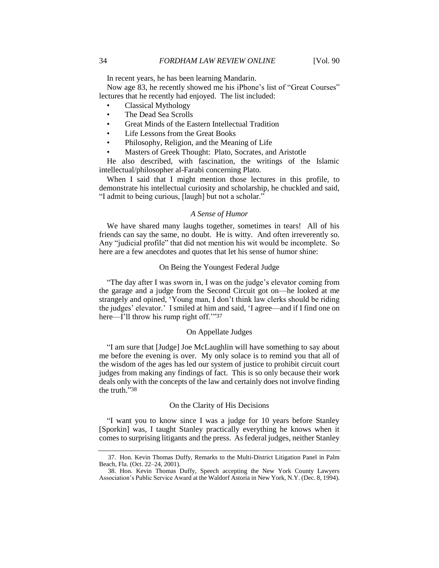In recent years, he has been learning Mandarin.

Now age 83, he recently showed me his iPhone's list of "Great Courses" lectures that he recently had enjoyed. The list included:

- Classical Mythology
- The Dead Sea Scrolls
- Great Minds of the Eastern Intellectual Tradition
- Life Lessons from the Great Books
- Philosophy, Religion, and the Meaning of Life
- Masters of Greek Thought: Plato, Socrates, and Aristotle

He also described, with fascination, the writings of the Islamic intellectual/philosopher al-Farabi concerning Plato.

When I said that I might mention those lectures in this profile, to demonstrate his intellectual curiosity and scholarship, he chuckled and said, "I admit to being curious, [laugh] but not a scholar."

#### *A Sense of Humor*

We have shared many laughs together, sometimes in tears! All of his friends can say the same, no doubt. He is witty. And often irreverently so. Any "judicial profile" that did not mention his wit would be incomplete. So here are a few anecdotes and quotes that let his sense of humor shine:

## On Being the Youngest Federal Judge

"The day after I was sworn in, I was on the judge's elevator coming from the garage and a judge from the Second Circuit got on—he looked at me strangely and opined, 'Young man, I don't think law clerks should be riding the judges' elevator.' I smiled at him and said, 'I agree—and if I find one on here—I'll throw his rump right off."37

## On Appellate Judges

"I am sure that [Judge] Joe McLaughlin will have something to say about me before the evening is over. My only solace is to remind you that all of the wisdom of the ages has led our system of justice to prohibit circuit court judges from making any findings of fact. This is so only because their work deals only with the concepts of the law and certainly does not involve finding the truth."38

## On the Clarity of His Decisions

"I want you to know since I was a judge for 10 years before Stanley [Sporkin] was, I taught Stanley practically everything he knows when it comes to surprising litigants and the press. As federal judges, neither Stanley

<sup>37.</sup> Hon. Kevin Thomas Duffy, Remarks to the Multi-District Litigation Panel in Palm Beach, Fla. (Oct. 22–24, 2001).

<sup>38.</sup> Hon. Kevin Thomas Duffy, Speech accepting the New York County Lawyers Association's Public Service Award at the Waldorf Astoria in New York, N.Y. (Dec. 8, 1994).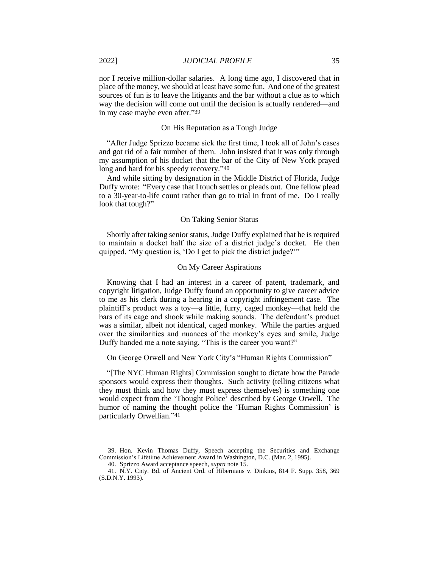nor I receive million-dollar salaries. A long time ago, I discovered that in place of the money, we should at least have some fun. And one of the greatest sources of fun is to leave the litigants and the bar without a clue as to which way the decision will come out until the decision is actually rendered—and in my case maybe even after."39

## On His Reputation as a Tough Judge

"After Judge Sprizzo became sick the first time, I took all of John's cases and got rid of a fair number of them. John insisted that it was only through my assumption of his docket that the bar of the City of New York prayed long and hard for his speedy recovery."40

And while sitting by designation in the Middle District of Florida, Judge Duffy wrote: "Every case that I touch settles or pleads out. One fellow plead to a 30-year-to-life count rather than go to trial in front of me. Do I really look that tough?"

#### On Taking Senior Status

Shortly after taking senior status, Judge Duffy explained that he is required to maintain a docket half the size of a district judge's docket. He then quipped, "My question is, 'Do I get to pick the district judge?'"

## On My Career Aspirations

Knowing that I had an interest in a career of patent, trademark, and copyright litigation, Judge Duffy found an opportunity to give career advice to me as his clerk during a hearing in a copyright infringement case. The plaintiff's product was a toy—a little, furry, caged monkey—that held the bars of its cage and shook while making sounds. The defendant's product was a similar, albeit not identical, caged monkey. While the parties argued over the similarities and nuances of the monkey's eyes and smile, Judge Duffy handed me a note saying, "This is the career you want?"

On George Orwell and New York City's "Human Rights Commission"

"[The NYC Human Rights] Commission sought to dictate how the Parade sponsors would express their thoughts. Such activity (telling citizens what they must think and how they must express themselves) is something one would expect from the 'Thought Police' described by George Orwell. The humor of naming the thought police the 'Human Rights Commission' is particularly Orwellian."41

<sup>39.</sup> Hon. Kevin Thomas Duffy, Speech accepting the Securities and Exchange Commission's Lifetime Achievement Award in Washington, D.C. (Mar. 2, 1995). 40. Sprizzo Award acceptance speech, *supra* not[e 15.](#page-4-0)

<sup>41.</sup> N.Y. Cnty. Bd. of Ancient Ord. of Hibernians v. Dinkins, 814 F. Supp. 358, 369 (S.D.N.Y. 1993).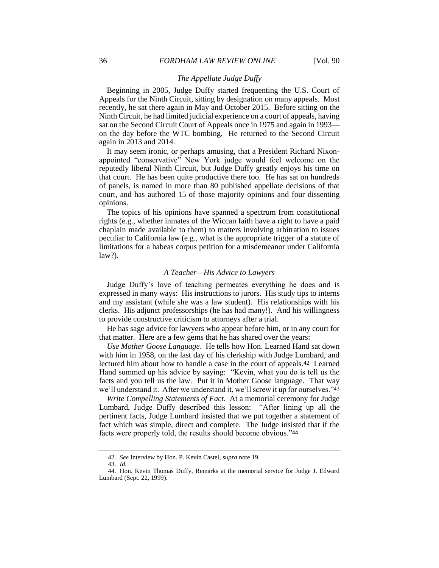## *The Appellate Judge Duffy*

Beginning in 2005, Judge Duffy started frequenting the U.S. Court of Appeals for the Ninth Circuit, sitting by designation on many appeals. Most recently, he sat there again in May and October 2015. Before sitting on the Ninth Circuit, he had limited judicial experience on a court of appeals, having sat on the Second Circuit Court of Appeals once in 1975 and again in 1993 on the day before the WTC bombing. He returned to the Second Circuit again in 2013 and 2014.

It may seem ironic, or perhaps amusing, that a President Richard Nixonappointed "conservative" New York judge would feel welcome on the reputedly liberal Ninth Circuit, but Judge Duffy greatly enjoys his time on that court. He has been quite productive there too. He has sat on hundreds of panels, is named in more than 80 published appellate decisions of that court, and has authored 15 of those majority opinions and four dissenting opinions.

The topics of his opinions have spanned a spectrum from constitutional rights (e.g., whether inmates of the Wiccan faith have a right to have a paid chaplain made available to them) to matters involving arbitration to issues peculiar to California law (e.g., what is the appropriate trigger of a statute of limitations for a habeas corpus petition for a misdemeanor under California law?).

## *A Teacher—His Advice to Lawyers*

Judge Duffy's love of teaching permeates everything he does and is expressed in many ways: His instructions to jurors. His study tips to interns and my assistant (while she was a law student). His relationships with his clerks. His adjunct professorships (he has had many!). And his willingness to provide constructive criticism to attorneys after a trial.

He has sage advice for lawyers who appear before him, or in any court for that matter. Here are a few gems that he has shared over the years:

*Use Mother Goose Language*. He tells how Hon. Learned Hand sat down with him in 1958, on the last day of his clerkship with Judge Lumbard, and lectured him about how to handle a case in the court of appeals.42 Learned Hand summed up his advice by saying: "Kevin, what you do is tell us the facts and you tell us the law. Put it in Mother Goose language. That way we'll understand it. After we understand it, we'll screw it up for ourselves."43

*Write Compelling Statements of Fact*. At a memorial ceremony for Judge Lumbard, Judge Duffy described this lesson: "After lining up all the pertinent facts, Judge Lumbard insisted that we put together a statement of fact which was simple, direct and complete. The Judge insisted that if the facts were properly told, the results should become obvious."44

<sup>42.</sup> *See* Interview by Hon. P. Kevin Castel, *supra* note [19.](#page-5-0)

<sup>43.</sup> *Id.*

<sup>44.</sup> Hon. Kevin Thomas Duffy, Remarks at the memorial service for Judge J. Edward Lumbard (Sept. 22, 1999).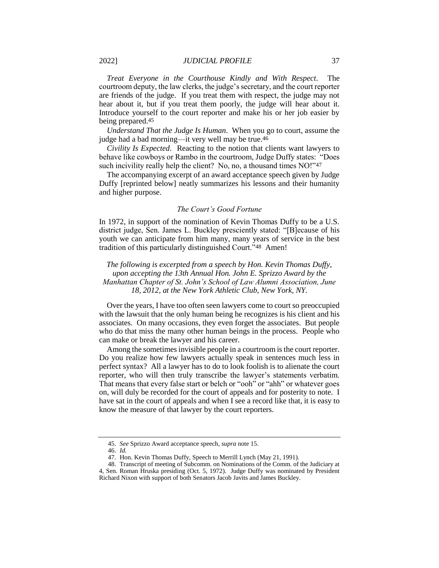*Treat Everyone in the Courthouse Kindly and With Respect*. The courtroom deputy, the law clerks, the judge's secretary, and the court reporter are friends of the judge. If you treat them with respect, the judge may not hear about it, but if you treat them poorly, the judge will hear about it. Introduce yourself to the court reporter and make his or her job easier by being prepared.45

*Understand That the Judge Is Human*. When you go to court, assume the judge had a bad morning—it very well may be true.46

*Civility Is Expected*. Reacting to the notion that clients want lawyers to behave like cowboys or Rambo in the courtroom, Judge Duffy states: "Does such incivility really help the client? No, no, a thousand times NO!"47

The accompanying excerpt of an award acceptance speech given by Judge Duffy [reprinted below] neatly summarizes his lessons and their humanity and higher purpose.

## *The Court's Good Fortune*

In 1972, in support of the nomination of Kevin Thomas Duffy to be a U.S. district judge, Sen. James L. Buckley presciently stated: "[B]ecause of his youth we can anticipate from him many, many years of service in the best tradition of this particularly distinguished Court."48 Amen!

*The following is excerpted from a speech by Hon. Kevin Thomas Duffy, upon accepting the 13th Annual Hon. John E. Sprizzo Award by the Manhattan Chapter of St. John's School of Law Alumni Association, June 18, 2012, at the New York Athletic Club, New York, NY.*

Over the years, I have too often seen lawyers come to court so preoccupied with the lawsuit that the only human being he recognizes is his client and his associates. On many occasions, they even forget the associates. But people who do that miss the many other human beings in the process. People who can make or break the lawyer and his career.

Among the sometimes invisible people in a courtroom is the court reporter. Do you realize how few lawyers actually speak in sentences much less in perfect syntax? All a lawyer has to do to look foolish is to alienate the court reporter, who will then truly transcribe the lawyer's statements verbatim. That means that every false start or belch or "ooh" or "ahh" or whatever goes on, will duly be recorded for the court of appeals and for posterity to note. I have sat in the court of appeals and when I see a record like that, it is easy to know the measure of that lawyer by the court reporters.

<sup>45.</sup> *See* Sprizzo Award acceptance speech, *supra* not[e 15.](#page-4-0)

<sup>46.</sup> *Id.*

<sup>47.</sup> Hon. Kevin Thomas Duffy, Speech to Merrill Lynch (May 21, 1991).

<sup>48.</sup> Transcript of meeting of Subcomm. on Nominations of the Comm. of the Judiciary at 4, Sen. Roman Hruska presiding (Oct. 5, 1972). Judge Duffy was nominated by President Richard Nixon with support of both Senators Jacob Javits and James Buckley.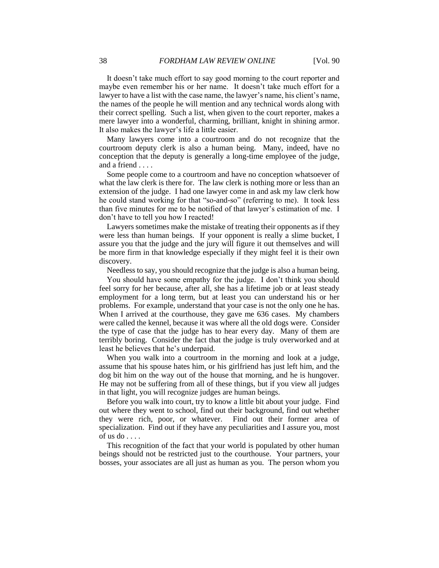It doesn't take much effort to say good morning to the court reporter and maybe even remember his or her name. It doesn't take much effort for a lawyer to have a list with the case name, the lawyer's name, his client's name, the names of the people he will mention and any technical words along with their correct spelling. Such a list, when given to the court reporter, makes a mere lawyer into a wonderful, charming, brilliant, knight in shining armor. It also makes the lawyer's life a little easier.

Many lawyers come into a courtroom and do not recognize that the courtroom deputy clerk is also a human being. Many, indeed, have no conception that the deputy is generally a long-time employee of the judge, and a friend . . . .

Some people come to a courtroom and have no conception whatsoever of what the law clerk is there for. The law clerk is nothing more or less than an extension of the judge. I had one lawyer come in and ask my law clerk how he could stand working for that "so-and-so" (referring to me). It took less than five minutes for me to be notified of that lawyer's estimation of me. I don't have to tell you how I reacted!

Lawyers sometimes make the mistake of treating their opponents as if they were less than human beings. If your opponent is really a slime bucket, I assure you that the judge and the jury will figure it out themselves and will be more firm in that knowledge especially if they might feel it is their own discovery.

Needless to say, you should recognize that the judge is also a human being.

You should have some empathy for the judge. I don't think you should feel sorry for her because, after all, she has a lifetime job or at least steady employment for a long term, but at least you can understand his or her problems. For example, understand that your case is not the only one he has. When I arrived at the courthouse, they gave me 636 cases. My chambers were called the kennel, because it was where all the old dogs were. Consider the type of case that the judge has to hear every day. Many of them are terribly boring. Consider the fact that the judge is truly overworked and at least he believes that he's underpaid.

When you walk into a courtroom in the morning and look at a judge, assume that his spouse hates him, or his girlfriend has just left him, and the dog bit him on the way out of the house that morning, and he is hungover. He may not be suffering from all of these things, but if you view all judges in that light, you will recognize judges are human beings.

Before you walk into court, try to know a little bit about your judge. Find out where they went to school, find out their background, find out whether they were rich, poor, or whatever. Find out their former area of specialization. Find out if they have any peculiarities and I assure you, most of us do  $\ldots$ .

This recognition of the fact that your world is populated by other human beings should not be restricted just to the courthouse. Your partners, your bosses, your associates are all just as human as you. The person whom you